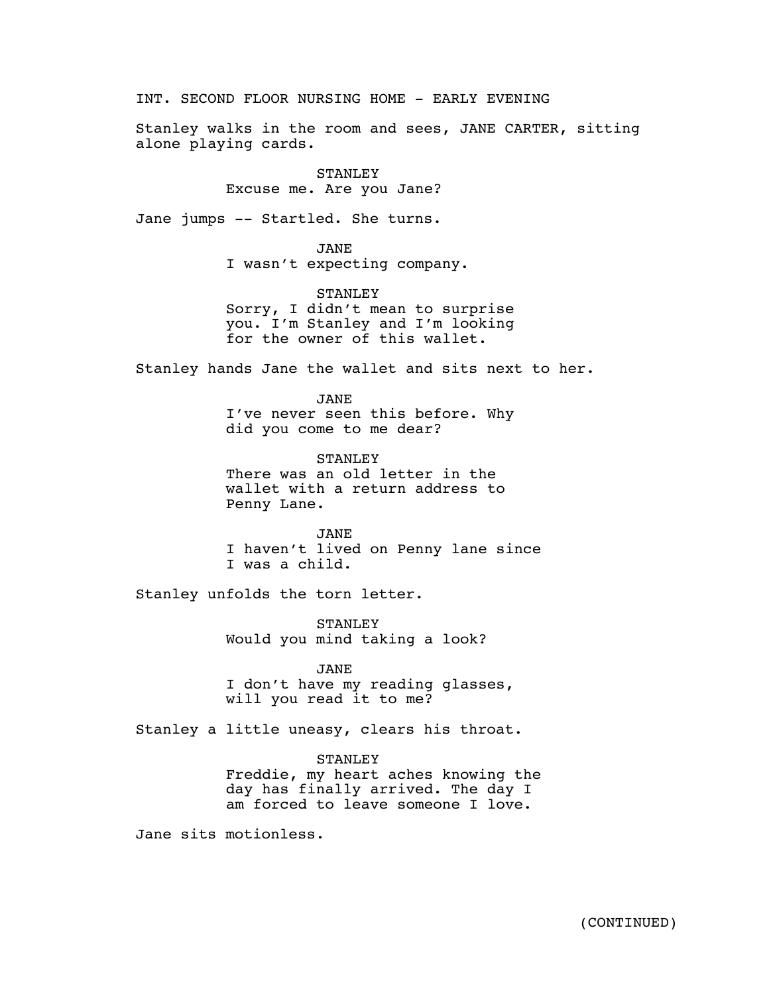INT. SECOND FLOOR NURSING HOME - EARLY EVENING

Stanley walks in the room and sees, JANE CARTER, sitting alone playing cards.

## STANLEY Excuse me. Are you Jane?

Jane jumps -- Startled. She turns.

JANE I wasn't expecting company.

STANLEY Sorry, I didn't mean to surprise you. I'm Stanley and I'm looking for the owner of this wallet.

Stanley hands Jane the wallet and sits next to her.

JANE I've never seen this before. Why did you come to me dear?

STANLEY There was an old letter in the wallet with a return address to Penny Lane.

JANE I haven't lived on Penny lane since I was a child.

Stanley unfolds the torn letter.

STANLEY Would you mind taking a look?

JANE

I don't have my reading glasses, will you read it to me?

Stanley a little uneasy, clears his throat.

# STANLEY

Freddie, my heart aches knowing the day has finally arrived. The day I am forced to leave someone I love.

Jane sits motionless.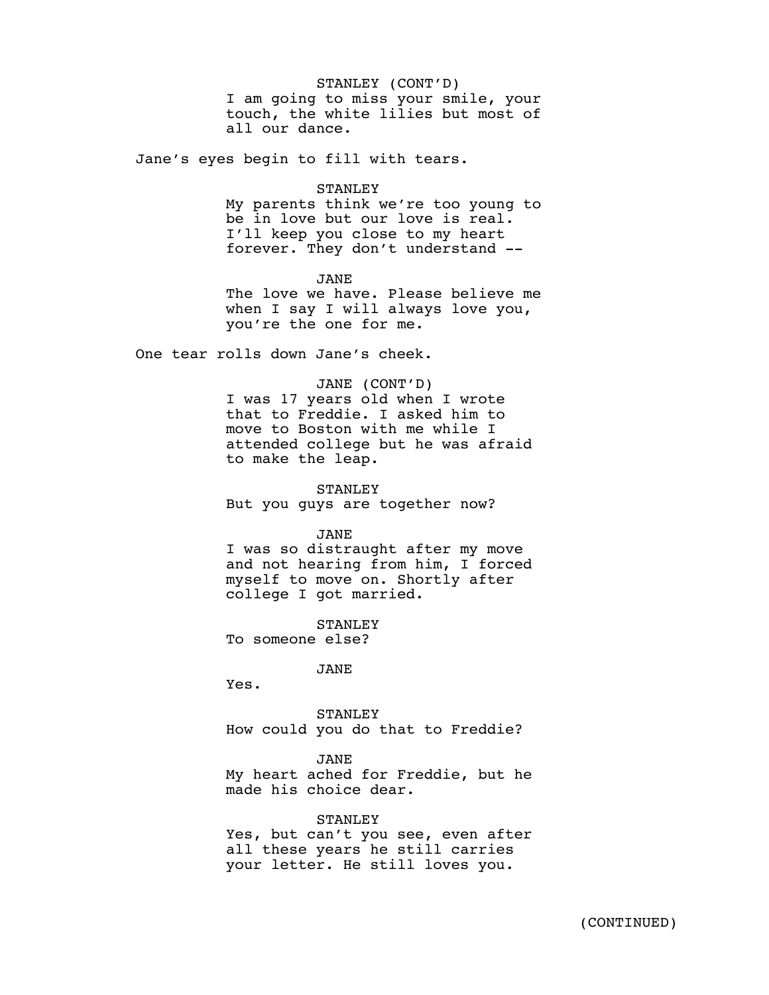### STANLEY (CONT'D)

I am going to miss your smile, your touch, the white lilies but most of all our dance.

Jane's eyes begin to fill with tears.

#### STANLEY

My parents think we're too young to be in love but our love is real. I'll keep you close to my heart forever. They don't understand --

## JANE

The love we have. Please believe me when I say I will always love you, you're the one for me.

One tear rolls down Jane's cheek.

### JANE (CONT'D)

I was 17 years old when I wrote that to Freddie. I asked him to move to Boston with me while I attended college but he was afraid to make the leap.

STANLEY But you guys are together now?

### JANE

I was so distraught after my move and not hearing from him, I forced myself to move on. Shortly after college I got married.

**STANLEY** To someone else?

JANE

Yes.

STANLEY How could you do that to Freddie?

JANE

My heart ached for Freddie, but he made his choice dear.

STANLEY Yes, but can't you see, even after all these years he still carries your letter. He still loves you.

 $\mathcal{A}_{\mathcal{A}}$